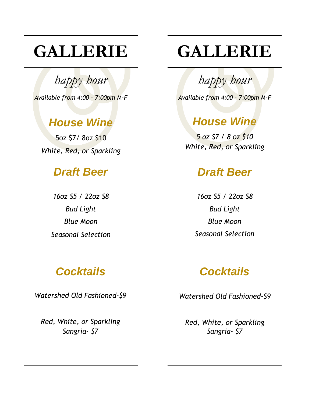# **GALLERIE**

*happy hour*

*Available from 4:00 – 7:00pm M-F*

# *House Wine*

5oz \$7/ 8oz \$10 *White, Red, or Sparkling*

## *Draft Beer*

*16oz \$5 / 22oz \$8 Bud Light Blue Moon Seasonal Selection*

# **GALLERIE**

*happy hour*

*Available from 4:00 – 7:00pm M-F*

# *House Wine*

*White, Red, or Sparkling 5 oz \$7 / 8 oz \$10*

# *Draft Beer*

*16oz \$5 / 22oz \$8 Bud Light Blue Moon Seasonal Selection*

# *Cocktails*

*Watershed Old Fashioned-\$9*

*Red, White, or Sparkling Sangria- \$7*

# *Cocktails*

*Watershed Old Fashioned-\$9*

*Red, White, or Sparkling Sangria- \$7*